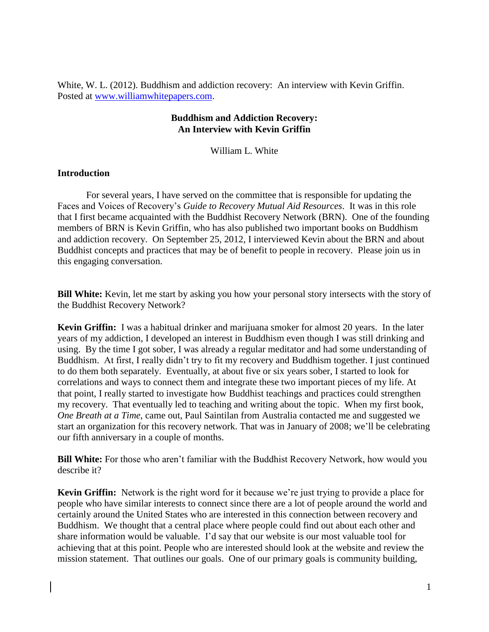White, W. L. (2012). Buddhism and addiction recovery: An interview with Kevin Griffin. Posted at [www.williamwhitepapers.com.](http://www.williamwhitepapers.com/)

## **Buddhism and Addiction Recovery: An Interview with Kevin Griffin**

William L. White

## **Introduction**

For several years, I have served on the committee that is responsible for updating the Faces and Voices of Recovery's *Guide to Recovery Mutual Aid Resources*. It was in this role that I first became acquainted with the Buddhist Recovery Network (BRN). One of the founding members of BRN is Kevin Griffin, who has also published two important books on Buddhism and addiction recovery. On September 25, 2012, I interviewed Kevin about the BRN and about Buddhist concepts and practices that may be of benefit to people in recovery. Please join us in this engaging conversation.

**Bill White:** Kevin, let me start by asking you how your personal story intersects with the story of the Buddhist Recovery Network?

**Kevin Griffin:** I was a habitual drinker and marijuana smoker for almost 20 years. In the later years of my addiction, I developed an interest in Buddhism even though I was still drinking and using. By the time I got sober, I was already a regular meditator and had some understanding of Buddhism. At first, I really didn't try to fit my recovery and Buddhism together. I just continued to do them both separately. Eventually, at about five or six years sober, I started to look for correlations and ways to connect them and integrate these two important pieces of my life. At that point, I really started to investigate how Buddhist teachings and practices could strengthen my recovery. That eventually led to teaching and writing about the topic. When my first book, *One Breath at a Time*, came out, Paul Saintilan from Australia contacted me and suggested we start an organization for this recovery network. That was in January of 2008; we'll be celebrating our fifth anniversary in a couple of months.

**Bill White:** For those who aren't familiar with the Buddhist Recovery Network, how would you describe it?

**Kevin Griffin:** Network is the right word for it because we're just trying to provide a place for people who have similar interests to connect since there are a lot of people around the world and certainly around the United States who are interested in this connection between recovery and Buddhism. We thought that a central place where people could find out about each other and share information would be valuable. I'd say that our website is our most valuable tool for achieving that at this point. People who are interested should look at the website and review the mission statement. That outlines our goals. One of our primary goals is community building,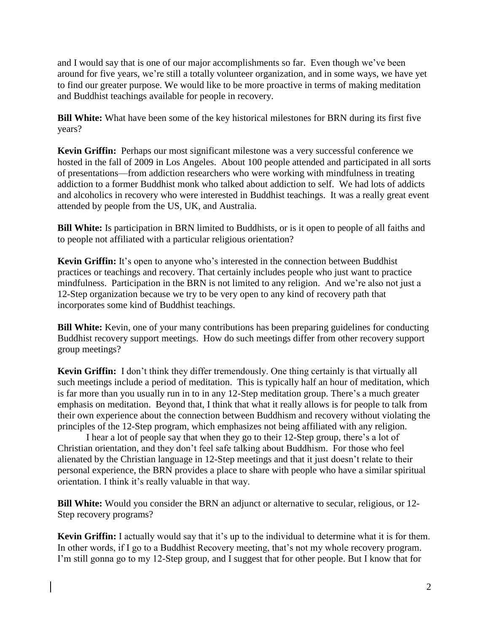and I would say that is one of our major accomplishments so far. Even though we've been around for five years, we're still a totally volunteer organization, and in some ways, we have yet to find our greater purpose. We would like to be more proactive in terms of making meditation and Buddhist teachings available for people in recovery.

**Bill White:** What have been some of the key historical milestones for BRN during its first five years?

**Kevin Griffin:** Perhaps our most significant milestone was a very successful conference we hosted in the fall of 2009 in Los Angeles. About 100 people attended and participated in all sorts of presentations—from addiction researchers who were working with mindfulness in treating addiction to a former Buddhist monk who talked about addiction to self. We had lots of addicts and alcoholics in recovery who were interested in Buddhist teachings. It was a really great event attended by people from the US, UK, and Australia.

**Bill White:** Is participation in BRN limited to Buddhists, or is it open to people of all faiths and to people not affiliated with a particular religious orientation?

**Kevin Griffin:** It's open to anyone who's interested in the connection between Buddhist practices or teachings and recovery. That certainly includes people who just want to practice mindfulness. Participation in the BRN is not limited to any religion. And we're also not just a 12-Step organization because we try to be very open to any kind of recovery path that incorporates some kind of Buddhist teachings.

**Bill White:** Kevin, one of your many contributions has been preparing guidelines for conducting Buddhist recovery support meetings. How do such meetings differ from other recovery support group meetings?

**Kevin Griffin:** I don't think they differ tremendously. One thing certainly is that virtually all such meetings include a period of meditation. This is typically half an hour of meditation, which is far more than you usually run in to in any 12-Step meditation group. There's a much greater emphasis on meditation. Beyond that, I think that what it really allows is for people to talk from their own experience about the connection between Buddhism and recovery without violating the principles of the 12-Step program, which emphasizes not being affiliated with any religion.

I hear a lot of people say that when they go to their 12-Step group, there's a lot of Christian orientation, and they don't feel safe talking about Buddhism. For those who feel alienated by the Christian language in 12-Step meetings and that it just doesn't relate to their personal experience, the BRN provides a place to share with people who have a similar spiritual orientation. I think it's really valuable in that way.

**Bill White:** Would you consider the BRN an adjunct or alternative to secular, religious, or 12- Step recovery programs?

**Kevin Griffin:** I actually would say that it's up to the individual to determine what it is for them. In other words, if I go to a Buddhist Recovery meeting, that's not my whole recovery program. I'm still gonna go to my 12-Step group, and I suggest that for other people. But I know that for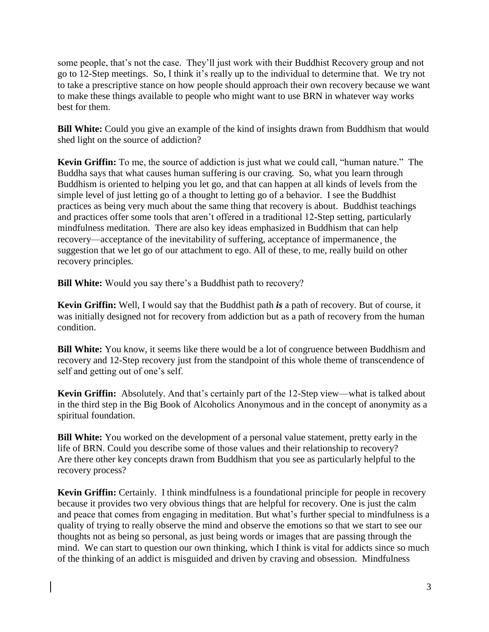some people, that's not the case. They'll just work with their Buddhist Recovery group and not go to 12-Step meetings. So, I think it's really up to the individual to determine that. We try not to take a prescriptive stance on how people should approach their own recovery because we want to make these things available to people who might want to use BRN in whatever way works best for them.

**Bill White:** Could you give an example of the kind of insights drawn from Buddhism that would shed light on the source of addiction?

**Kevin Griffin:** To me, the source of addiction is just what we could call, "human nature." The Buddha says that what causes human suffering is our craving. So, what you learn through Buddhism is oriented to helping you let go, and that can happen at all kinds of levels from the simple level of just letting go of a thought to letting go of a behavior. I see the Buddhist practices as being very much about the same thing that recovery is about. Buddhist teachings and practices offer some tools that aren't offered in a traditional 12-Step setting, particularly mindfulness meditation. There are also key ideas emphasized in Buddhism that can help recovery—acceptance of the inevitability of suffering, acceptance of impermanence¸ the suggestion that we let go of our attachment to ego. All of these, to me, really build on other recovery principles.

**Bill White:** Would you say there's a Buddhist path to recovery?

**Kevin Griffin:** Well, I would say that the Buddhist path *is* a path of recovery. But of course, it was initially designed not for recovery from addiction but as a path of recovery from the human condition.

**Bill White:** You know, it seems like there would be a lot of congruence between Buddhism and recovery and 12-Step recovery just from the standpoint of this whole theme of transcendence of self and getting out of one's self.

**Kevin Griffin:** Absolutely. And that's certainly part of the 12-Step view—what is talked about in the third step in the Big Book of Alcoholics Anonymous and in the concept of anonymity as a spiritual foundation.

**Bill White:** You worked on the development of a personal value statement, pretty early in the life of BRN. Could you describe some of those values and their relationship to recovery? Are there other key concepts drawn from Buddhism that you see as particularly helpful to the recovery process?

**Kevin Griffin:** Certainly. I think mindfulness is a foundational principle for people in recovery because it provides two very obvious things that are helpful for recovery. One is just the calm and peace that comes from engaging in meditation. But what's further special to mindfulness is a quality of trying to really observe the mind and observe the emotions so that we start to see our thoughts not as being so personal, as just being words or images that are passing through the mind. We can start to question our own thinking, which I think is vital for addicts since so much of the thinking of an addict is misguided and driven by craving and obsession. Mindfulness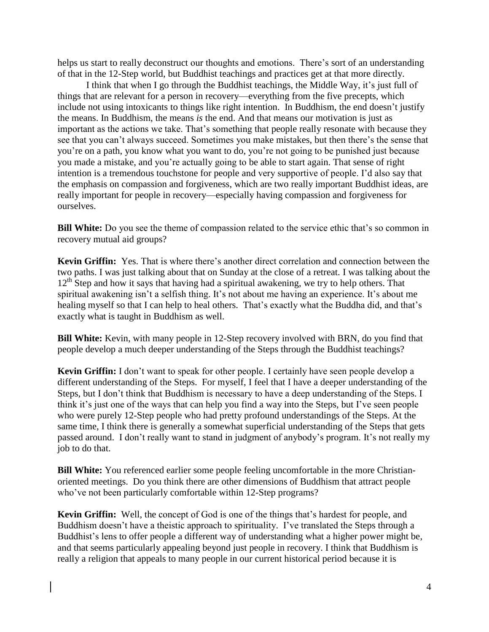helps us start to really deconstruct our thoughts and emotions. There's sort of an understanding of that in the 12-Step world, but Buddhist teachings and practices get at that more directly.

I think that when I go through the Buddhist teachings, the Middle Way, it's just full of things that are relevant for a person in recovery—everything from the five precepts, which include not using intoxicants to things like right intention. In Buddhism, the end doesn't justify the means. In Buddhism, the means *is* the end. And that means our motivation is just as important as the actions we take. That's something that people really resonate with because they see that you can't always succeed. Sometimes you make mistakes, but then there's the sense that you're on a path, you know what you want to do, you're not going to be punished just because you made a mistake, and you're actually going to be able to start again. That sense of right intention is a tremendous touchstone for people and very supportive of people. I'd also say that the emphasis on compassion and forgiveness, which are two really important Buddhist ideas, are really important for people in recovery—especially having compassion and forgiveness for ourselves.

**Bill White:** Do you see the theme of compassion related to the service ethic that's so common in recovery mutual aid groups?

**Kevin Griffin:** Yes. That is where there's another direct correlation and connection between the two paths. I was just talking about that on Sunday at the close of a retreat. I was talking about the 12<sup>th</sup> Step and how it says that having had a spiritual awakening, we try to help others. That spiritual awakening isn't a selfish thing. It's not about me having an experience. It's about me healing myself so that I can help to heal others. That's exactly what the Buddha did, and that's exactly what is taught in Buddhism as well.

**Bill White:** Kevin, with many people in 12-Step recovery involved with BRN, do you find that people develop a much deeper understanding of the Steps through the Buddhist teachings?

**Kevin Griffin:** I don't want to speak for other people. I certainly have seen people develop a different understanding of the Steps. For myself, I feel that I have a deeper understanding of the Steps, but I don't think that Buddhism is necessary to have a deep understanding of the Steps. I think it's just one of the ways that can help you find a way into the Steps, but I've seen people who were purely 12-Step people who had pretty profound understandings of the Steps. At the same time, I think there is generally a somewhat superficial understanding of the Steps that gets passed around. I don't really want to stand in judgment of anybody's program. It's not really my job to do that.

**Bill White:** You referenced earlier some people feeling uncomfortable in the more Christianoriented meetings. Do you think there are other dimensions of Buddhism that attract people who've not been particularly comfortable within 12-Step programs?

**Kevin Griffin:** Well, the concept of God is one of the things that's hardest for people, and Buddhism doesn't have a theistic approach to spirituality. I've translated the Steps through a Buddhist's lens to offer people a different way of understanding what a higher power might be, and that seems particularly appealing beyond just people in recovery. I think that Buddhism is really a religion that appeals to many people in our current historical period because it is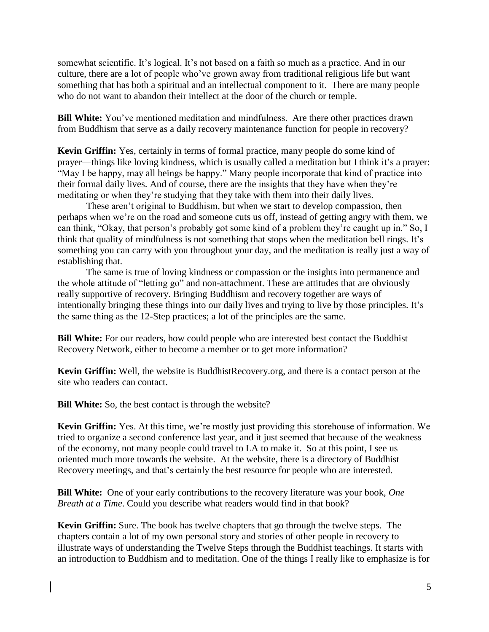somewhat scientific. It's logical. It's not based on a faith so much as a practice. And in our culture, there are a lot of people who've grown away from traditional religious life but want something that has both a spiritual and an intellectual component to it. There are many people who do not want to abandon their intellect at the door of the church or temple.

**Bill White:** You've mentioned meditation and mindfulness. Are there other practices drawn from Buddhism that serve as a daily recovery maintenance function for people in recovery?

**Kevin Griffin:** Yes, certainly in terms of formal practice, many people do some kind of prayer—things like loving kindness, which is usually called a meditation but I think it's a prayer: "May I be happy, may all beings be happy." Many people incorporate that kind of practice into their formal daily lives. And of course, there are the insights that they have when they're meditating or when they're studying that they take with them into their daily lives.

These aren't original to Buddhism, but when we start to develop compassion, then perhaps when we're on the road and someone cuts us off, instead of getting angry with them, we can think, "Okay, that person's probably got some kind of a problem they're caught up in." So, I think that quality of mindfulness is not something that stops when the meditation bell rings. It's something you can carry with you throughout your day, and the meditation is really just a way of establishing that.

The same is true of loving kindness or compassion or the insights into permanence and the whole attitude of "letting go" and non-attachment. These are attitudes that are obviously really supportive of recovery. Bringing Buddhism and recovery together are ways of intentionally bringing these things into our daily lives and trying to live by those principles. It's the same thing as the 12-Step practices; a lot of the principles are the same.

**Bill White:** For our readers, how could people who are interested best contact the Buddhist Recovery Network, either to become a member or to get more information?

**Kevin Griffin:** Well, the website is BuddhistRecovery.org, and there is a contact person at the site who readers can contact.

**Bill White:** So, the best contact is through the website?

**Kevin Griffin:** Yes. At this time, we're mostly just providing this storehouse of information. We tried to organize a second conference last year, and it just seemed that because of the weakness of the economy, not many people could travel to LA to make it. So at this point, I see us oriented much more towards the website. At the website, there is a directory of Buddhist Recovery meetings, and that's certainly the best resource for people who are interested.

**Bill White:** One of your early contributions to the recovery literature was your book, *One Breath at a Time*. Could you describe what readers would find in that book?

**Kevin Griffin:** Sure. The book has twelve chapters that go through the twelve steps. The chapters contain a lot of my own personal story and stories of other people in recovery to illustrate ways of understanding the Twelve Steps through the Buddhist teachings. It starts with an introduction to Buddhism and to meditation. One of the things I really like to emphasize is for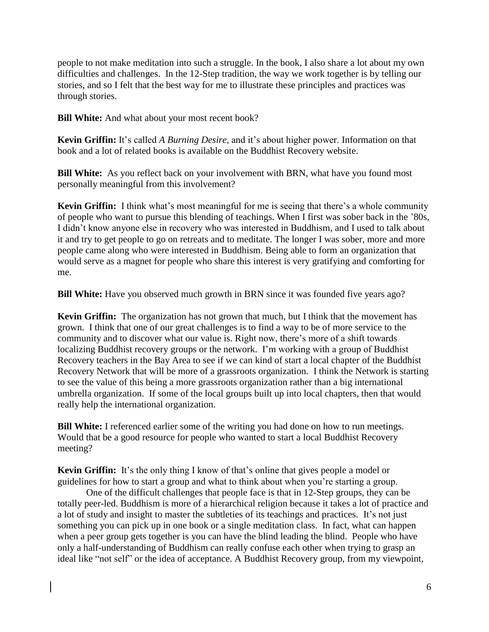people to not make meditation into such a struggle. In the book, I also share a lot about my own difficulties and challenges. In the 12-Step tradition, the way we work together is by telling our stories, and so I felt that the best way for me to illustrate these principles and practices was through stories.

**Bill White:** And what about your most recent book?

**Kevin Griffin:** It's called *A Burning Desire*, and it's about higher power. Information on that book and a lot of related books is available on the Buddhist Recovery website.

**Bill White:** As you reflect back on your involvement with BRN, what have you found most personally meaningful from this involvement?

**Kevin Griffin:** I think what's most meaningful for me is seeing that there's a whole community of people who want to pursue this blending of teachings. When I first was sober back in the '80s, I didn't know anyone else in recovery who was interested in Buddhism, and I used to talk about it and try to get people to go on retreats and to meditate. The longer I was sober, more and more people came along who were interested in Buddhism. Being able to form an organization that would serve as a magnet for people who share this interest is very gratifying and comforting for me.

**Bill White:** Have you observed much growth in BRN since it was founded five years ago?

**Kevin Griffin:** The organization has not grown that much, but I think that the movement has grown. I think that one of our great challenges is to find a way to be of more service to the community and to discover what our value is. Right now, there's more of a shift towards localizing Buddhist recovery groups or the network. I'm working with a group of Buddhist Recovery teachers in the Bay Area to see if we can kind of start a local chapter of the Buddhist Recovery Network that will be more of a grassroots organization. I think the Network is starting to see the value of this being a more grassroots organization rather than a big international umbrella organization. If some of the local groups built up into local chapters, then that would really help the international organization.

**Bill White:** I referenced earlier some of the writing you had done on how to run meetings. Would that be a good resource for people who wanted to start a local Buddhist Recovery meeting?

**Kevin Griffin:** It's the only thing I know of that's online that gives people a model or guidelines for how to start a group and what to think about when you're starting a group.

One of the difficult challenges that people face is that in 12-Step groups, they can be totally peer-led. Buddhism is more of a hierarchical religion because it takes a lot of practice and a lot of study and insight to master the subtleties of its teachings and practices. It's not just something you can pick up in one book or a single meditation class. In fact, what can happen when a peer group gets together is you can have the blind leading the blind. People who have only a half-understanding of Buddhism can really confuse each other when trying to grasp an ideal like "not self" or the idea of acceptance. A Buddhist Recovery group, from my viewpoint,